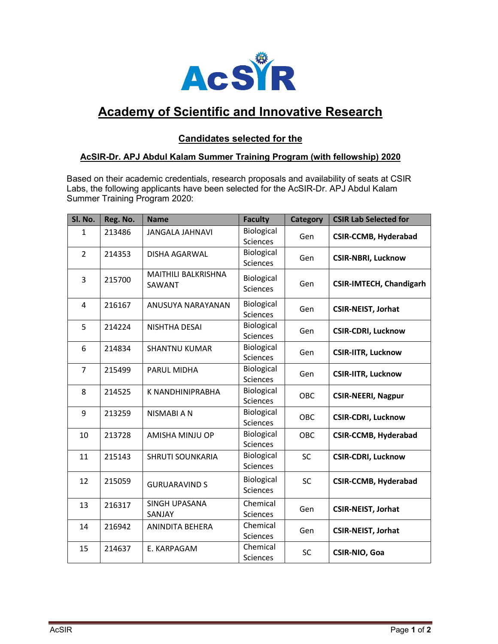

# Academy of Scientific and Innovative Research

#### Candidates selected for the

#### AcSIR-Dr. APJ Abdul Kalam Summer Training Program (with fellowship) 2020

Based on their academic credentials, research proposals and availability of seats at CSIR Labs, the following applicants have been selected for the AcSIR-Dr. APJ Abdul Kalam Summer Training Program 2020:

| Sl. No.        | Reg. No. | <b>Name</b>                          | <b>Faculty</b>                | <b>Category</b> | <b>CSIR Lab Selected for</b>   |
|----------------|----------|--------------------------------------|-------------------------------|-----------------|--------------------------------|
| $\mathbf{1}$   | 213486   | <b>JANGALA JAHNAVI</b>               | Biological<br>Sciences        | Gen             | <b>CSIR-CCMB, Hyderabad</b>    |
| $\overline{2}$ | 214353   | <b>DISHA AGARWAL</b>                 | Biological<br>Sciences        | Gen             | <b>CSIR-NBRI, Lucknow</b>      |
| 3              | 215700   | <b>MAITHILI BALKRISHNA</b><br>SAWANT | Biological<br><b>Sciences</b> | Gen             | <b>CSIR-IMTECH, Chandigarh</b> |
| 4              | 216167   | ANUSUYA NARAYANAN                    | Biological<br><b>Sciences</b> | Gen             | <b>CSIR-NEIST, Jorhat</b>      |
| 5              | 214224   | NISHTHA DESAI                        | Biological<br>Sciences        | Gen             | <b>CSIR-CDRI, Lucknow</b>      |
| 6              | 214834   | <b>SHANTNU KUMAR</b>                 | Biological<br>Sciences        | Gen             | <b>CSIR-IITR, Lucknow</b>      |
| $\overline{7}$ | 215499   | <b>PARUL MIDHA</b>                   | Biological<br><b>Sciences</b> | Gen             | <b>CSIR-IITR, Lucknow</b>      |
| 8              | 214525   | K NANDHINIPRABHA                     | Biological<br><b>Sciences</b> | OBC             | <b>CSIR-NEERI, Nagpur</b>      |
| 9              | 213259   | NISMABI A N                          | Biological<br>Sciences        | OBC             | <b>CSIR-CDRI, Lucknow</b>      |
| 10             | 213728   | AMISHA MINJU OP                      | Biological<br>Sciences        | OBC             | <b>CSIR-CCMB, Hyderabad</b>    |
| 11             | 215143   | <b>SHRUTI SOUNKARIA</b>              | Biological<br>Sciences        | <b>SC</b>       | <b>CSIR-CDRI, Lucknow</b>      |
| 12             | 215059   | <b>GURUARAVIND S</b>                 | Biological<br><b>Sciences</b> | <b>SC</b>       | <b>CSIR-CCMB, Hyderabad</b>    |
| 13             | 216317   | SINGH UPASANA<br>SANJAY              | Chemical<br><b>Sciences</b>   | Gen             | <b>CSIR-NEIST, Jorhat</b>      |
| 14             | 216942   | ANINDITA BEHERA                      | Chemical<br>Sciences          | Gen             | <b>CSIR-NEIST, Jorhat</b>      |
| 15             | 214637   | E. KARPAGAM                          | Chemical<br><b>Sciences</b>   | SC              | CSIR-NIO, Goa                  |